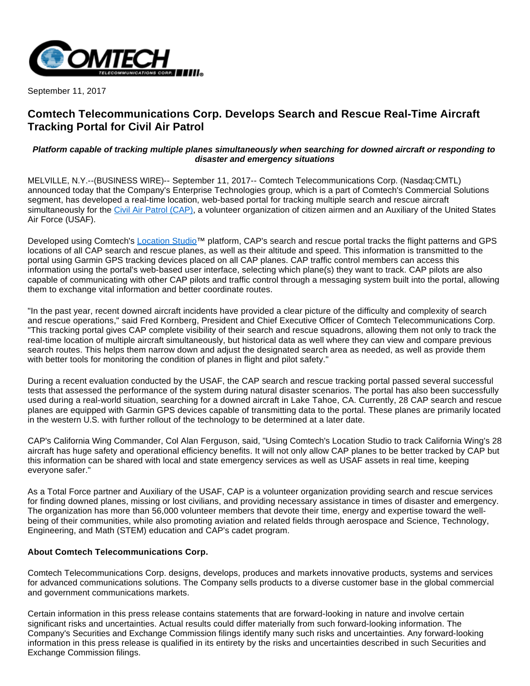

September 11, 2017

## **Comtech Telecommunications Corp. Develops Search and Rescue Real-Time Aircraft Tracking Portal for Civil Air Patrol**

## **Platform capable of tracking multiple planes simultaneously when searching for downed aircraft or responding to disaster and emergency situations**

MELVILLE, N.Y.--(BUSINESS WIRE)-- September 11, 2017-- Comtech Telecommunications Corp. (Nasdaq:CMTL) announced today that the Company's Enterprise Technologies group, which is a part of Comtech's Commercial Solutions segment, has developed a real-time location, web-based portal for tracking multiple search and rescue aircraft simultaneously for the [Civil Air Patrol \(CAP\)](http://cts.businesswire.com/ct/CT?id=smartlink&url=http%3A%2F%2Fwww.gocivilairpatrol.com%2Fabout%2F&esheet=51679813&newsitemid=20170911005674&lan=en-US&anchor=Civil+Air+Patrol+%28CAP%29&index=1&md5=cbd3ec32b72009ab47bebe436cff11e4), a volunteer organization of citizen airmen and an Auxiliary of the United States Air Force (USAF).

Developed using Comtech's [Location Studio](http://cts.businesswire.com/ct/CT?id=smartlink&url=http%3A%2F%2Fwww.telecomsys.com%2Fproducts%2Flocation-based-services%2Fapps%2Flocation-studio.aspx&esheet=51679813&newsitemid=20170911005674&lan=en-US&anchor=Location+Studio&index=2&md5=5e711f3c19420c0eae535a3e624dd37e)<sup>™</sup> platform, CAP's search and rescue portal tracks the flight patterns and GPS locations of all CAP search and rescue planes, as well as their altitude and speed. This information is transmitted to the portal using Garmin GPS tracking devices placed on all CAP planes. CAP traffic control members can access this information using the portal's web-based user interface, selecting which plane(s) they want to track. CAP pilots are also capable of communicating with other CAP pilots and traffic control through a messaging system built into the portal, allowing them to exchange vital information and better coordinate routes.

"In the past year, recent downed aircraft incidents have provided a clear picture of the difficulty and complexity of search and rescue operations," said Fred Kornberg, President and Chief Executive Officer of Comtech Telecommunications Corp. "This tracking portal gives CAP complete visibility of their search and rescue squadrons, allowing them not only to track the real-time location of multiple aircraft simultaneously, but historical data as well where they can view and compare previous search routes. This helps them narrow down and adjust the designated search area as needed, as well as provide them with better tools for monitoring the condition of planes in flight and pilot safety."

During a recent evaluation conducted by the USAF, the CAP search and rescue tracking portal passed several successful tests that assessed the performance of the system during natural disaster scenarios. The portal has also been successfully used during a real-world situation, searching for a downed aircraft in Lake Tahoe, CA. Currently, 28 CAP search and rescue planes are equipped with Garmin GPS devices capable of transmitting data to the portal. These planes are primarily located in the western U.S. with further rollout of the technology to be determined at a later date.

CAP's California Wing Commander, Col Alan Ferguson, said, "Using Comtech's Location Studio to track California Wing's 28 aircraft has huge safety and operational efficiency benefits. It will not only allow CAP planes to be better tracked by CAP but this information can be shared with local and state emergency services as well as USAF assets in real time, keeping everyone safer."

As a Total Force partner and Auxiliary of the USAF, CAP is a volunteer organization providing search and rescue services for finding downed planes, missing or lost civilians, and providing necessary assistance in times of disaster and emergency. The organization has more than 56,000 volunteer members that devote their time, energy and expertise toward the wellbeing of their communities, while also promoting aviation and related fields through aerospace and Science, Technology, Engineering, and Math (STEM) education and CAP's cadet program.

## **About Comtech Telecommunications Corp.**

Comtech Telecommunications Corp. designs, develops, produces and markets innovative products, systems and services for advanced communications solutions. The Company sells products to a diverse customer base in the global commercial and government communications markets.

Certain information in this press release contains statements that are forward-looking in nature and involve certain significant risks and uncertainties. Actual results could differ materially from such forward-looking information. The Company's Securities and Exchange Commission filings identify many such risks and uncertainties. Any forward-looking information in this press release is qualified in its entirety by the risks and uncertainties described in such Securities and Exchange Commission filings.